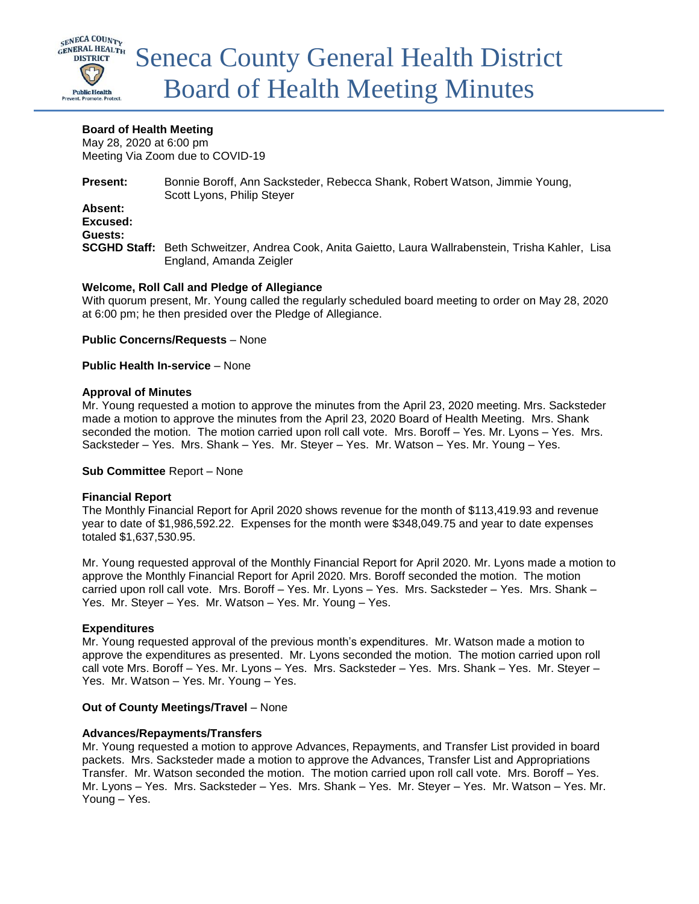

## **Board of Health Meeting**

May 28, 2020 at 6:00 pm Meeting Via Zoom due to COVID-19

**Present:** Bonnie Boroff, Ann Sacksteder, Rebecca Shank, Robert Watson, Jimmie Young, Scott Lyons, Philip Steyer **Absent: Excused: Guests: SCGHD Staff:** Beth Schweitzer, Andrea Cook, Anita Gaietto, Laura Wallrabenstein, Trisha Kahler, Lisa England, Amanda Zeigler

## **Welcome, Roll Call and Pledge of Allegiance**

With quorum present, Mr. Young called the regularly scheduled board meeting to order on May 28, 2020 at 6:00 pm; he then presided over the Pledge of Allegiance.

**Public Concerns/Requests** – None

**Public Health In-service** – None

## **Approval of Minutes**

Mr. Young requested a motion to approve the minutes from the April 23, 2020 meeting. Mrs. Sacksteder made a motion to approve the minutes from the April 23, 2020 Board of Health Meeting. Mrs. Shank seconded the motion. The motion carried upon roll call vote. Mrs. Boroff – Yes. Mr. Lyons – Yes. Mrs. Sacksteder – Yes. Mrs. Shank – Yes. Mr. Steyer – Yes. Mr. Watson – Yes. Mr. Young – Yes.

## **Sub Committee** Report – None

## **Financial Report**

The Monthly Financial Report for April 2020 shows revenue for the month of \$113,419.93 and revenue year to date of \$1,986,592.22. Expenses for the month were \$348,049.75 and year to date expenses totaled \$1,637,530.95.

Mr. Young requested approval of the Monthly Financial Report for April 2020. Mr. Lyons made a motion to approve the Monthly Financial Report for April 2020. Mrs. Boroff seconded the motion. The motion carried upon roll call vote. Mrs. Boroff – Yes. Mr. Lyons – Yes. Mrs. Sacksteder – Yes. Mrs. Shank – Yes. Mr. Steyer – Yes. Mr. Watson – Yes. Mr. Young – Yes.

## **Expenditures**

Mr. Young requested approval of the previous month's expenditures. Mr. Watson made a motion to approve the expenditures as presented. Mr. Lyons seconded the motion. The motion carried upon roll call vote Mrs. Boroff – Yes. Mr. Lyons – Yes. Mrs. Sacksteder – Yes. Mrs. Shank – Yes. Mr. Steyer – Yes. Mr. Watson – Yes. Mr. Young – Yes.

## **Out of County Meetings/Travel** – None

## **Advances/Repayments/Transfers**

Mr. Young requested a motion to approve Advances, Repayments, and Transfer List provided in board packets. Mrs. Sacksteder made a motion to approve the Advances, Transfer List and Appropriations Transfer. Mr. Watson seconded the motion. The motion carried upon roll call vote. Mrs. Boroff – Yes. Mr. Lyons – Yes. Mrs. Sacksteder – Yes. Mrs. Shank – Yes. Mr. Steyer – Yes. Mr. Watson – Yes. Mr. Young – Yes.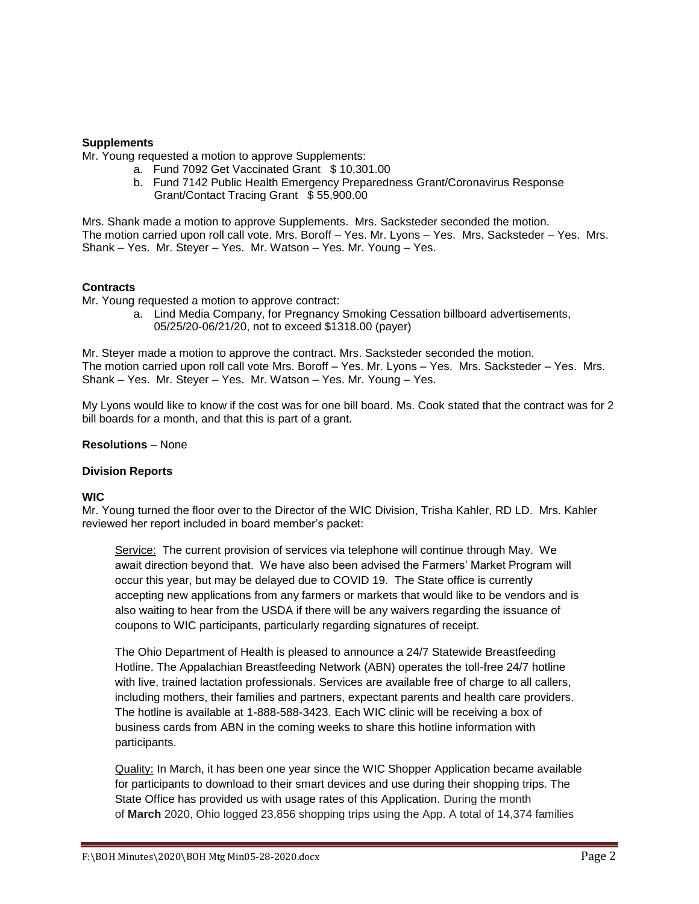## **Supplements**

Mr. Young requested a motion to approve Supplements:

- a. Fund 7092 Get Vaccinated Grant \$ 10,301.00
- b. Fund 7142 Public Health Emergency Preparedness Grant/Coronavirus Response Grant/Contact Tracing Grant \$ 55,900.00

Mrs. Shank made a motion to approve Supplements. Mrs. Sacksteder seconded the motion. The motion carried upon roll call vote. Mrs. Boroff – Yes. Mr. Lyons – Yes. Mrs. Sacksteder – Yes. Mrs. Shank – Yes. Mr. Steyer – Yes. Mr. Watson – Yes. Mr. Young – Yes.

## **Contracts**

Mr. Young requested a motion to approve contract:

a. Lind Media Company, for Pregnancy Smoking Cessation billboard advertisements, 05/25/20-06/21/20, not to exceed \$1318.00 (payer)

Mr. Steyer made a motion to approve the contract. Mrs. Sacksteder seconded the motion. The motion carried upon roll call vote Mrs. Boroff – Yes. Mr. Lyons – Yes. Mrs. Sacksteder – Yes. Mrs. Shank – Yes. Mr. Steyer – Yes. Mr. Watson – Yes. Mr. Young – Yes.

My Lyons would like to know if the cost was for one bill board. Ms. Cook stated that the contract was for 2 bill boards for a month, and that this is part of a grant.

## **Resolutions** – None

## **Division Reports**

# **WIC**

Mr. Young turned the floor over to the Director of the WIC Division, Trisha Kahler, RD LD. Mrs. Kahler reviewed her report included in board member's packet:

Service: The current provision of services via telephone will continue through May. We await direction beyond that. We have also been advised the Farmers' Market Program will occur this year, but may be delayed due to COVID 19. The State office is currently accepting new applications from any farmers or markets that would like to be vendors and is also waiting to hear from the USDA if there will be any waivers regarding the issuance of coupons to WIC participants, particularly regarding signatures of receipt.

The Ohio Department of Health is pleased to announce a 24/7 Statewide Breastfeeding Hotline. The Appalachian Breastfeeding Network (ABN) operates the toll-free 24/7 hotline with live, trained lactation professionals. Services are available free of charge to all callers, including mothers, their families and partners, expectant parents and health care providers. The hotline is available at 1-888-588-3423. Each WIC clinic will be receiving a box of business cards from ABN in the coming weeks to share this hotline information with participants.

Quality: In March, it has been one year since the WIC Shopper Application became available for participants to download to their smart devices and use during their shopping trips. The State Office has provided us with usage rates of this Application. During the month of **March** 2020, Ohio logged 23,856 shopping trips using the App. A total of 14,374 families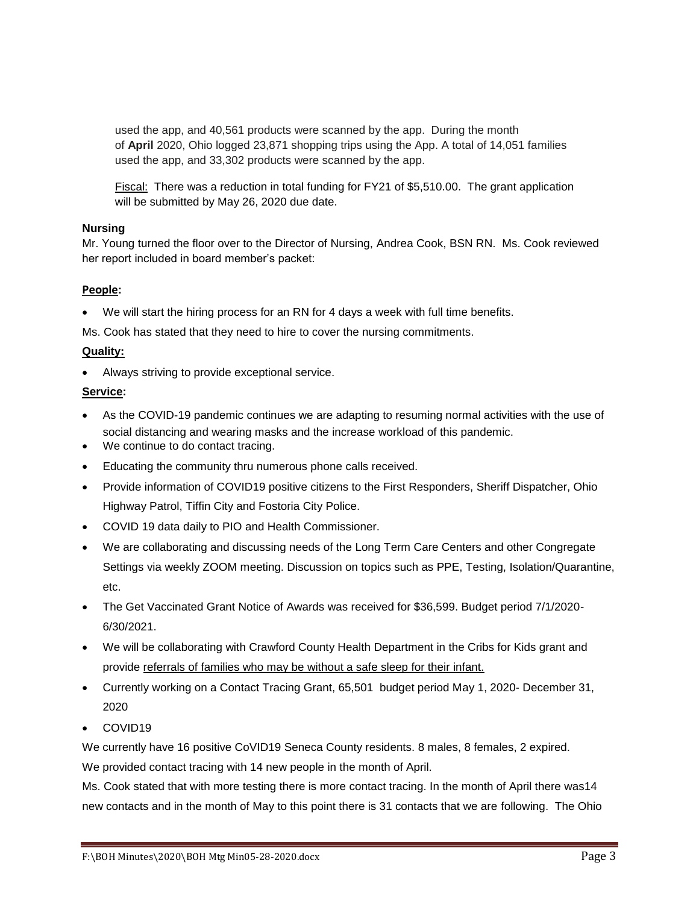used the app, and 40,561 products were scanned by the app. During the month of **April** 2020, Ohio logged 23,871 shopping trips using the App. A total of 14,051 families used the app, and 33,302 products were scanned by the app.

Fiscal: There was a reduction in total funding for FY21 of \$5,510.00. The grant application will be submitted by May 26, 2020 due date.

## **Nursing**

Mr. Young turned the floor over to the Director of Nursing, Andrea Cook, BSN RN. Ms. Cook reviewed her report included in board member's packet:

# **People:**

We will start the hiring process for an RN for 4 days a week with full time benefits.

Ms. Cook has stated that they need to hire to cover the nursing commitments.

# **Quality:**

Always striving to provide exceptional service.

## **Service:**

- As the COVID-19 pandemic continues we are adapting to resuming normal activities with the use of social distancing and wearing masks and the increase workload of this pandemic.
- We continue to do contact tracing.
- Educating the community thru numerous phone calls received.
- Provide information of COVID19 positive citizens to the First Responders, Sheriff Dispatcher, Ohio Highway Patrol, Tiffin City and Fostoria City Police.
- COVID 19 data daily to PIO and Health Commissioner.
- We are collaborating and discussing needs of the Long Term Care Centers and other Congregate Settings via weekly ZOOM meeting. Discussion on topics such as PPE, Testing, Isolation/Quarantine, etc.
- The Get Vaccinated Grant Notice of Awards was received for \$36,599. Budget period 7/1/2020- 6/30/2021.
- We will be collaborating with Crawford County Health Department in the Cribs for Kids grant and provide referrals of families who may be without a safe sleep for their infant.
- Currently working on a Contact Tracing Grant, 65,501 budget period May 1, 2020- December 31, 2020
- COVID19

We currently have 16 positive CoVID19 Seneca County residents. 8 males, 8 females, 2 expired. We provided contact tracing with 14 new people in the month of April.

Ms. Cook stated that with more testing there is more contact tracing. In the month of April there was14 new contacts and in the month of May to this point there is 31 contacts that we are following. The Ohio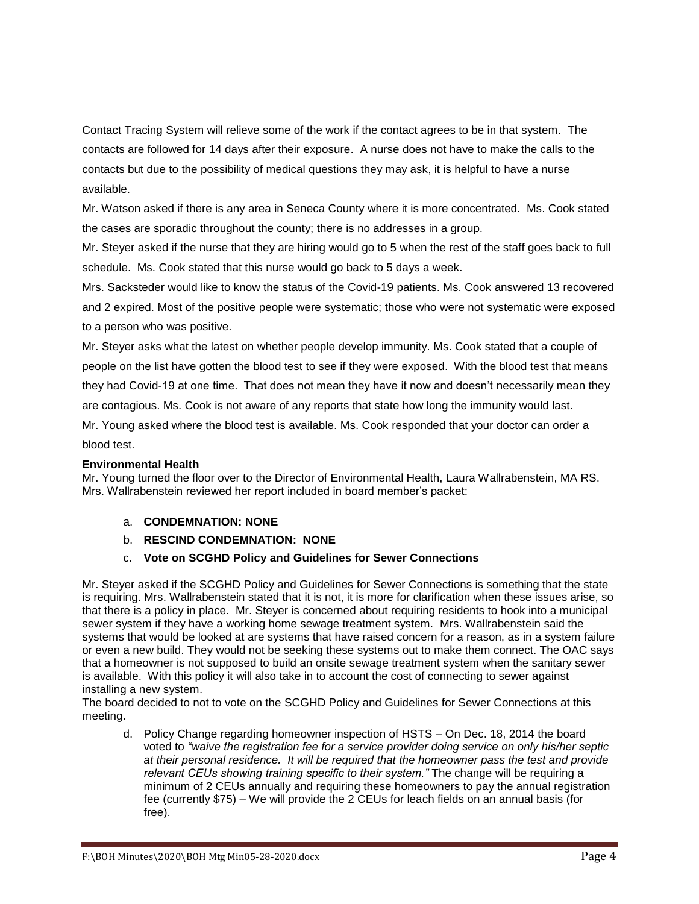Contact Tracing System will relieve some of the work if the contact agrees to be in that system. The contacts are followed for 14 days after their exposure. A nurse does not have to make the calls to the contacts but due to the possibility of medical questions they may ask, it is helpful to have a nurse available.

Mr. Watson asked if there is any area in Seneca County where it is more concentrated. Ms. Cook stated the cases are sporadic throughout the county; there is no addresses in a group.

Mr. Steyer asked if the nurse that they are hiring would go to 5 when the rest of the staff goes back to full schedule. Ms. Cook stated that this nurse would go back to 5 days a week.

Mrs. Sacksteder would like to know the status of the Covid-19 patients. Ms. Cook answered 13 recovered and 2 expired. Most of the positive people were systematic; those who were not systematic were exposed to a person who was positive.

Mr. Steyer asks what the latest on whether people develop immunity. Ms. Cook stated that a couple of people on the list have gotten the blood test to see if they were exposed. With the blood test that means they had Covid-19 at one time. That does not mean they have it now and doesn't necessarily mean they are contagious. Ms. Cook is not aware of any reports that state how long the immunity would last.

Mr. Young asked where the blood test is available. Ms. Cook responded that your doctor can order a blood test.

# **Environmental Health**

Mr. Young turned the floor over to the Director of Environmental Health, Laura Wallrabenstein, MA RS. Mrs. Wallrabenstein reviewed her report included in board member's packet:

- a. **CONDEMNATION: NONE**
- b. **RESCIND CONDEMNATION: NONE**
- c. **Vote on SCGHD Policy and Guidelines for Sewer Connections**

Mr. Steyer asked if the SCGHD Policy and Guidelines for Sewer Connections is something that the state is requiring. Mrs. Wallrabenstein stated that it is not, it is more for clarification when these issues arise, so that there is a policy in place. Mr. Steyer is concerned about requiring residents to hook into a municipal sewer system if they have a working home sewage treatment system. Mrs. Wallrabenstein said the systems that would be looked at are systems that have raised concern for a reason, as in a system failure or even a new build. They would not be seeking these systems out to make them connect. The OAC says that a homeowner is not supposed to build an onsite sewage treatment system when the sanitary sewer is available. With this policy it will also take in to account the cost of connecting to sewer against installing a new system.

The board decided to not to vote on the SCGHD Policy and Guidelines for Sewer Connections at this meeting.

d. Policy Change regarding homeowner inspection of HSTS – On Dec. 18, 2014 the board voted to *"waive the registration fee for a service provider doing service on only his/her septic at their personal residence. It will be required that the homeowner pass the test and provide relevant CEUs showing training specific to their system."* The change will be requiring a minimum of 2 CEUs annually and requiring these homeowners to pay the annual registration fee (currently \$75) – We will provide the 2 CEUs for leach fields on an annual basis (for free).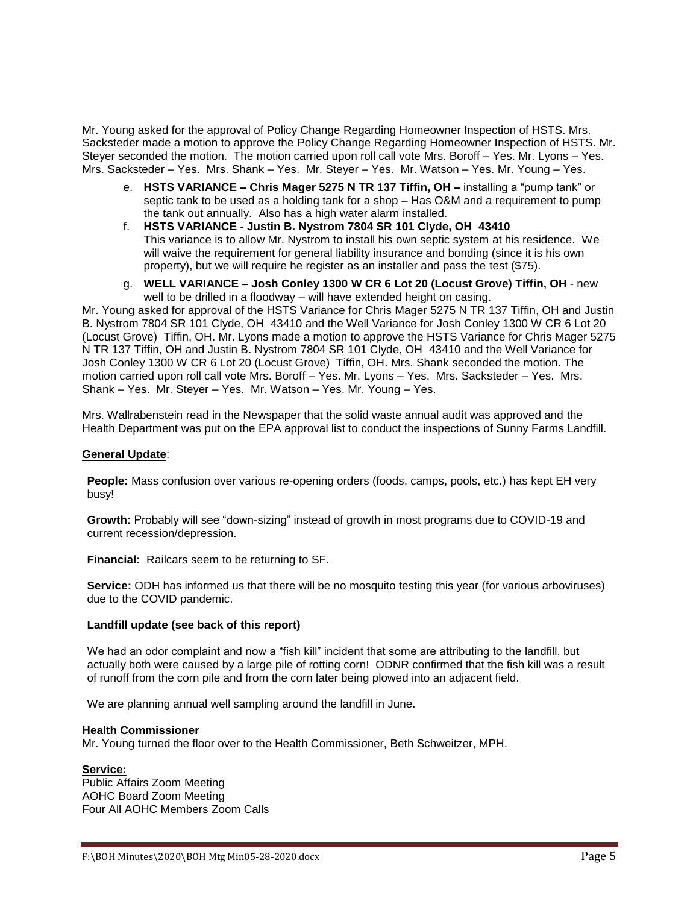Mr. Young asked for the approval of Policy Change Regarding Homeowner Inspection of HSTS. Mrs. Sacksteder made a motion to approve the Policy Change Regarding Homeowner Inspection of HSTS. Mr. Steyer seconded the motion. The motion carried upon roll call vote Mrs. Boroff – Yes. Mr. Lyons – Yes. Mrs. Sacksteder – Yes. Mrs. Shank – Yes. Mr. Steyer – Yes. Mr. Watson – Yes. Mr. Young – Yes.

- e. **HSTS VARIANCE – Chris Mager 5275 N TR 137 Tiffin, OH –** installing a "pump tank" or septic tank to be used as a holding tank for a shop – Has O&M and a requirement to pump the tank out annually. Also has a high water alarm installed.
- f. **HSTS VARIANCE - Justin B. Nystrom 7804 SR 101 Clyde, OH 43410** This variance is to allow Mr. Nystrom to install his own septic system at his residence. We will waive the requirement for general liability insurance and bonding (since it is his own property), but we will require he register as an installer and pass the test (\$75).
- g. **WELL VARIANCE – Josh Conley 1300 W CR 6 Lot 20 (Locust Grove) Tiffin, OH**  new well to be drilled in a floodway – will have extended height on casing.

Mr. Young asked for approval of the HSTS Variance for Chris Mager 5275 N TR 137 Tiffin, OH and Justin B. Nystrom 7804 SR 101 Clyde, OH 43410 and the Well Variance for Josh Conley 1300 W CR 6 Lot 20 (Locust Grove) Tiffin, OH. Mr. Lyons made a motion to approve the HSTS Variance for Chris Mager 5275 N TR 137 Tiffin, OH and Justin B. Nystrom 7804 SR 101 Clyde, OH 43410 and the Well Variance for Josh Conley 1300 W CR 6 Lot 20 (Locust Grove) Tiffin, OH. Mrs. Shank seconded the motion. The motion carried upon roll call vote Mrs. Boroff – Yes. Mr. Lyons – Yes. Mrs. Sacksteder – Yes. Mrs. Shank – Yes. Mr. Steyer – Yes. Mr. Watson – Yes. Mr. Young – Yes.

Mrs. Wallrabenstein read in the Newspaper that the solid waste annual audit was approved and the Health Department was put on the EPA approval list to conduct the inspections of Sunny Farms Landfill.

## **General Update**:

**People:** Mass confusion over various re-opening orders (foods, camps, pools, etc.) has kept EH very busy!

**Growth:** Probably will see "down-sizing" instead of growth in most programs due to COVID-19 and current recession/depression.

**Financial:** Railcars seem to be returning to SF.

**Service:** ODH has informed us that there will be no mosquito testing this year (for various arboviruses) due to the COVID pandemic.

## **Landfill update (see back of this report)**

We had an odor complaint and now a "fish kill" incident that some are attributing to the landfill, but actually both were caused by a large pile of rotting corn! ODNR confirmed that the fish kill was a result of runoff from the corn pile and from the corn later being plowed into an adjacent field.

We are planning annual well sampling around the landfill in June.

#### **Health Commissioner**

Mr. Young turned the floor over to the Health Commissioner, Beth Schweitzer, MPH.

## **Service:**

Public Affairs Zoom Meeting AOHC Board Zoom Meeting Four All AOHC Members Zoom Calls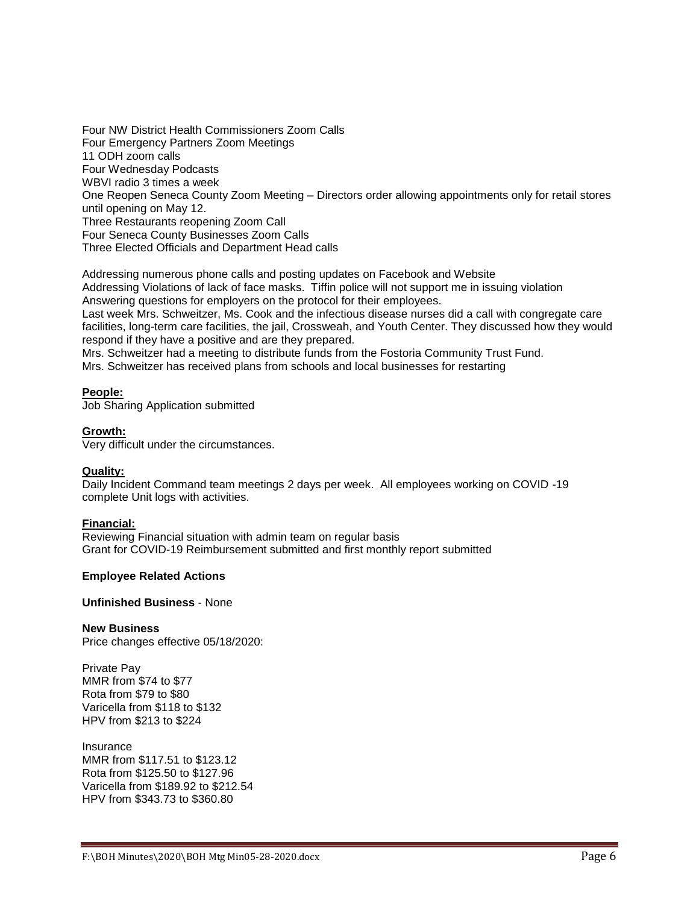Four NW District Health Commissioners Zoom Calls Four Emergency Partners Zoom Meetings 11 ODH zoom calls Four Wednesday Podcasts WBVI radio 3 times a week One Reopen Seneca County Zoom Meeting – Directors order allowing appointments only for retail stores until opening on May 12. Three Restaurants reopening Zoom Call Four Seneca County Businesses Zoom Calls Three Elected Officials and Department Head calls

Addressing numerous phone calls and posting updates on Facebook and Website Addressing Violations of lack of face masks. Tiffin police will not support me in issuing violation Answering questions for employers on the protocol for their employees.

Last week Mrs. Schweitzer, Ms. Cook and the infectious disease nurses did a call with congregate care facilities, long-term care facilities, the jail, Crossweah, and Youth Center. They discussed how they would respond if they have a positive and are they prepared.

Mrs. Schweitzer had a meeting to distribute funds from the Fostoria Community Trust Fund.

Mrs. Schweitzer has received plans from schools and local businesses for restarting

## **People:**

Job Sharing Application submitted

## **Growth:**

Very difficult under the circumstances.

## **Quality:**

Daily Incident Command team meetings 2 days per week. All employees working on COVID -19 complete Unit logs with activities.

## **Financial:**

Reviewing Financial situation with admin team on regular basis Grant for COVID-19 Reimbursement submitted and first monthly report submitted

## **Employee Related Actions**

# **Unfinished Business** - None

## **New Business**

Price changes effective 05/18/2020:

Private Pay MMR from \$74 to \$77 Rota from \$79 to \$80 Varicella from \$118 to \$132 HPV from \$213 to \$224

Insurance MMR from \$117.51 to \$123.12 Rota from \$125.50 to \$127.96 Varicella from \$189.92 to \$212.54 HPV from \$343.73 to \$360.80